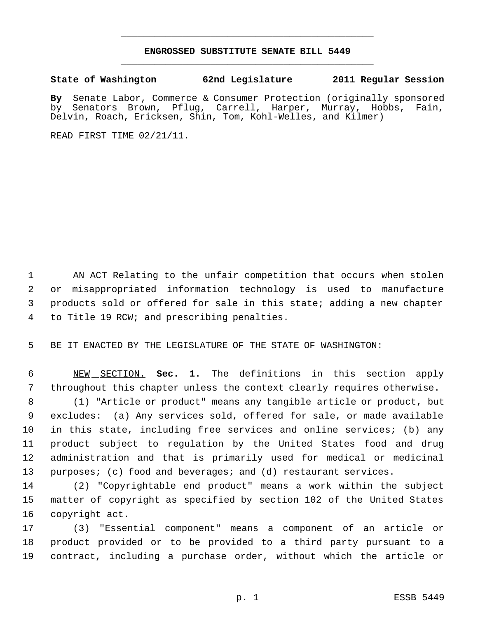## **ENGROSSED SUBSTITUTE SENATE BILL 5449** \_\_\_\_\_\_\_\_\_\_\_\_\_\_\_\_\_\_\_\_\_\_\_\_\_\_\_\_\_\_\_\_\_\_\_\_\_\_\_\_\_\_\_\_\_

\_\_\_\_\_\_\_\_\_\_\_\_\_\_\_\_\_\_\_\_\_\_\_\_\_\_\_\_\_\_\_\_\_\_\_\_\_\_\_\_\_\_\_\_\_

**State of Washington 62nd Legislature 2011 Regular Session**

**By** Senate Labor, Commerce & Consumer Protection (originally sponsored by Senators Brown, Pflug, Carrell, Harper, Murray, Hobbs, Fain, Delvin, Roach, Ericksen, Shin, Tom, Kohl-Welles, and Kilmer)

READ FIRST TIME 02/21/11.

 AN ACT Relating to the unfair competition that occurs when stolen or misappropriated information technology is used to manufacture products sold or offered for sale in this state; adding a new chapter to Title 19 RCW; and prescribing penalties.

BE IT ENACTED BY THE LEGISLATURE OF THE STATE OF WASHINGTON:

 NEW SECTION. **Sec. 1.** The definitions in this section apply throughout this chapter unless the context clearly requires otherwise.

 (1) "Article or product" means any tangible article or product, but excludes: (a) Any services sold, offered for sale, or made available in this state, including free services and online services; (b) any product subject to regulation by the United States food and drug administration and that is primarily used for medical or medicinal purposes; (c) food and beverages; and (d) restaurant services.

 (2) "Copyrightable end product" means a work within the subject matter of copyright as specified by section 102 of the United States copyright act.

 (3) "Essential component" means a component of an article or product provided or to be provided to a third party pursuant to a contract, including a purchase order, without which the article or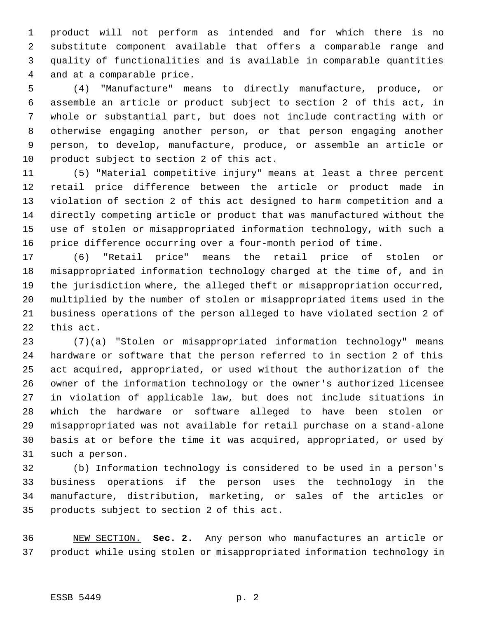product will not perform as intended and for which there is no substitute component available that offers a comparable range and quality of functionalities and is available in comparable quantities and at a comparable price.

 (4) "Manufacture" means to directly manufacture, produce, or assemble an article or product subject to section 2 of this act, in whole or substantial part, but does not include contracting with or otherwise engaging another person, or that person engaging another person, to develop, manufacture, produce, or assemble an article or product subject to section 2 of this act.

 (5) "Material competitive injury" means at least a three percent retail price difference between the article or product made in violation of section 2 of this act designed to harm competition and a directly competing article or product that was manufactured without the use of stolen or misappropriated information technology, with such a price difference occurring over a four-month period of time.

 (6) "Retail price" means the retail price of stolen or misappropriated information technology charged at the time of, and in the jurisdiction where, the alleged theft or misappropriation occurred, multiplied by the number of stolen or misappropriated items used in the business operations of the person alleged to have violated section 2 of this act.

 (7)(a) "Stolen or misappropriated information technology" means hardware or software that the person referred to in section 2 of this act acquired, appropriated, or used without the authorization of the owner of the information technology or the owner's authorized licensee in violation of applicable law, but does not include situations in which the hardware or software alleged to have been stolen or misappropriated was not available for retail purchase on a stand-alone basis at or before the time it was acquired, appropriated, or used by such a person.

 (b) Information technology is considered to be used in a person's business operations if the person uses the technology in the manufacture, distribution, marketing, or sales of the articles or products subject to section 2 of this act.

 NEW SECTION. **Sec. 2.** Any person who manufactures an article or product while using stolen or misappropriated information technology in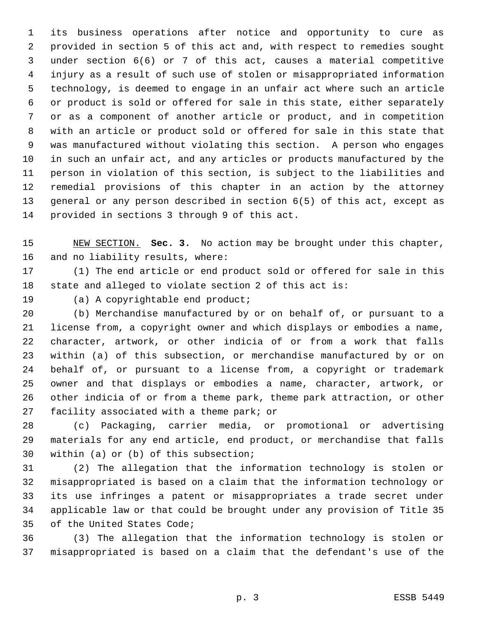its business operations after notice and opportunity to cure as provided in section 5 of this act and, with respect to remedies sought under section 6(6) or 7 of this act, causes a material competitive injury as a result of such use of stolen or misappropriated information technology, is deemed to engage in an unfair act where such an article or product is sold or offered for sale in this state, either separately or as a component of another article or product, and in competition with an article or product sold or offered for sale in this state that was manufactured without violating this section. A person who engages in such an unfair act, and any articles or products manufactured by the person in violation of this section, is subject to the liabilities and remedial provisions of this chapter in an action by the attorney general or any person described in section 6(5) of this act, except as provided in sections 3 through 9 of this act.

 NEW SECTION. **Sec. 3.** No action may be brought under this chapter, and no liability results, where:

 (1) The end article or end product sold or offered for sale in this state and alleged to violate section 2 of this act is:

(a) A copyrightable end product;

 (b) Merchandise manufactured by or on behalf of, or pursuant to a license from, a copyright owner and which displays or embodies a name, character, artwork, or other indicia of or from a work that falls within (a) of this subsection, or merchandise manufactured by or on behalf of, or pursuant to a license from, a copyright or trademark owner and that displays or embodies a name, character, artwork, or other indicia of or from a theme park, theme park attraction, or other facility associated with a theme park; or

 (c) Packaging, carrier media, or promotional or advertising materials for any end article, end product, or merchandise that falls within (a) or (b) of this subsection;

 (2) The allegation that the information technology is stolen or misappropriated is based on a claim that the information technology or its use infringes a patent or misappropriates a trade secret under applicable law or that could be brought under any provision of Title 35 of the United States Code;

 (3) The allegation that the information technology is stolen or misappropriated is based on a claim that the defendant's use of the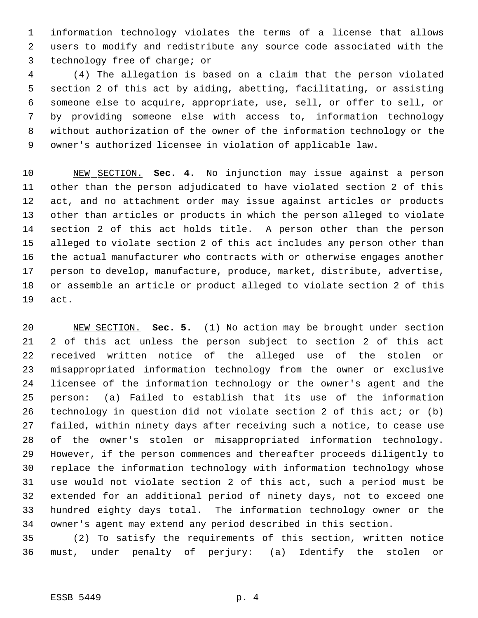information technology violates the terms of a license that allows users to modify and redistribute any source code associated with the technology free of charge; or

 (4) The allegation is based on a claim that the person violated section 2 of this act by aiding, abetting, facilitating, or assisting someone else to acquire, appropriate, use, sell, or offer to sell, or by providing someone else with access to, information technology without authorization of the owner of the information technology or the owner's authorized licensee in violation of applicable law.

 NEW SECTION. **Sec. 4.** No injunction may issue against a person other than the person adjudicated to have violated section 2 of this act, and no attachment order may issue against articles or products other than articles or products in which the person alleged to violate section 2 of this act holds title. A person other than the person alleged to violate section 2 of this act includes any person other than the actual manufacturer who contracts with or otherwise engages another person to develop, manufacture, produce, market, distribute, advertise, or assemble an article or product alleged to violate section 2 of this act.

 NEW SECTION. **Sec. 5.** (1) No action may be brought under section 2 of this act unless the person subject to section 2 of this act received written notice of the alleged use of the stolen or misappropriated information technology from the owner or exclusive licensee of the information technology or the owner's agent and the person: (a) Failed to establish that its use of the information technology in question did not violate section 2 of this act; or (b) failed, within ninety days after receiving such a notice, to cease use of the owner's stolen or misappropriated information technology. However, if the person commences and thereafter proceeds diligently to replace the information technology with information technology whose use would not violate section 2 of this act, such a period must be extended for an additional period of ninety days, not to exceed one hundred eighty days total. The information technology owner or the owner's agent may extend any period described in this section.

 (2) To satisfy the requirements of this section, written notice must, under penalty of perjury: (a) Identify the stolen or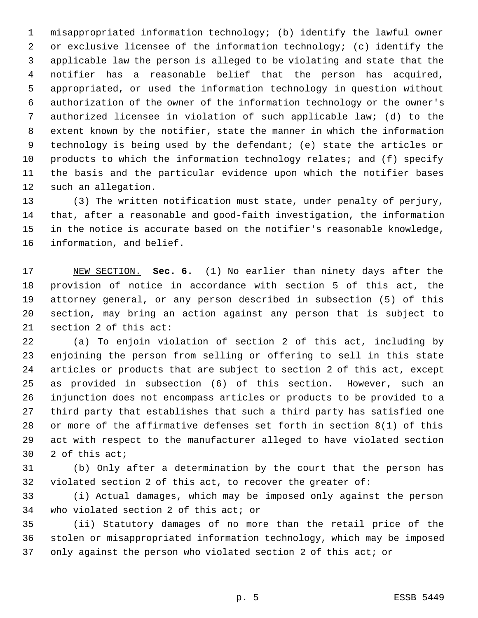misappropriated information technology; (b) identify the lawful owner or exclusive licensee of the information technology; (c) identify the applicable law the person is alleged to be violating and state that the notifier has a reasonable belief that the person has acquired, appropriated, or used the information technology in question without authorization of the owner of the information technology or the owner's authorized licensee in violation of such applicable law; (d) to the extent known by the notifier, state the manner in which the information technology is being used by the defendant; (e) state the articles or products to which the information technology relates; and (f) specify the basis and the particular evidence upon which the notifier bases such an allegation.

 (3) The written notification must state, under penalty of perjury, that, after a reasonable and good-faith investigation, the information in the notice is accurate based on the notifier's reasonable knowledge, information, and belief.

 NEW SECTION. **Sec. 6.** (1) No earlier than ninety days after the provision of notice in accordance with section 5 of this act, the attorney general, or any person described in subsection (5) of this section, may bring an action against any person that is subject to section 2 of this act:

 (a) To enjoin violation of section 2 of this act, including by enjoining the person from selling or offering to sell in this state articles or products that are subject to section 2 of this act, except as provided in subsection (6) of this section. However, such an injunction does not encompass articles or products to be provided to a third party that establishes that such a third party has satisfied one or more of the affirmative defenses set forth in section 8(1) of this act with respect to the manufacturer alleged to have violated section 2 of this act;

 (b) Only after a determination by the court that the person has violated section 2 of this act, to recover the greater of:

 (i) Actual damages, which may be imposed only against the person who violated section 2 of this act; or

 (ii) Statutory damages of no more than the retail price of the stolen or misappropriated information technology, which may be imposed only against the person who violated section 2 of this act; or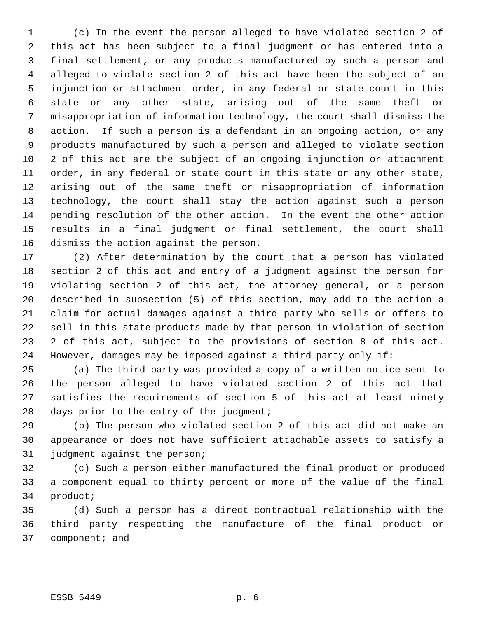(c) In the event the person alleged to have violated section 2 of this act has been subject to a final judgment or has entered into a final settlement, or any products manufactured by such a person and alleged to violate section 2 of this act have been the subject of an injunction or attachment order, in any federal or state court in this state or any other state, arising out of the same theft or misappropriation of information technology, the court shall dismiss the action. If such a person is a defendant in an ongoing action, or any products manufactured by such a person and alleged to violate section 2 of this act are the subject of an ongoing injunction or attachment order, in any federal or state court in this state or any other state, arising out of the same theft or misappropriation of information technology, the court shall stay the action against such a person pending resolution of the other action. In the event the other action results in a final judgment or final settlement, the court shall dismiss the action against the person.

 (2) After determination by the court that a person has violated section 2 of this act and entry of a judgment against the person for violating section 2 of this act, the attorney general, or a person described in subsection (5) of this section, may add to the action a claim for actual damages against a third party who sells or offers to sell in this state products made by that person in violation of section 2 of this act, subject to the provisions of section 8 of this act. However, damages may be imposed against a third party only if:

 (a) The third party was provided a copy of a written notice sent to the person alleged to have violated section 2 of this act that satisfies the requirements of section 5 of this act at least ninety 28 days prior to the entry of the judgment;

 (b) The person who violated section 2 of this act did not make an appearance or does not have sufficient attachable assets to satisfy a judgment against the person;

 (c) Such a person either manufactured the final product or produced a component equal to thirty percent or more of the value of the final product;

 (d) Such a person has a direct contractual relationship with the third party respecting the manufacture of the final product or component; and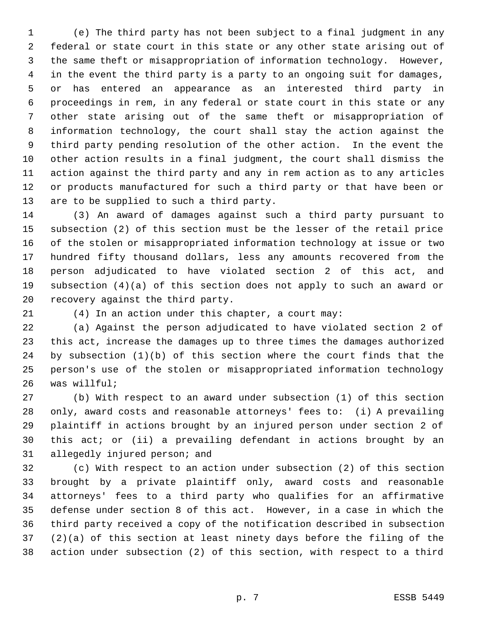(e) The third party has not been subject to a final judgment in any federal or state court in this state or any other state arising out of the same theft or misappropriation of information technology. However, in the event the third party is a party to an ongoing suit for damages, or has entered an appearance as an interested third party in proceedings in rem, in any federal or state court in this state or any other state arising out of the same theft or misappropriation of information technology, the court shall stay the action against the third party pending resolution of the other action. In the event the other action results in a final judgment, the court shall dismiss the action against the third party and any in rem action as to any articles or products manufactured for such a third party or that have been or are to be supplied to such a third party.

 (3) An award of damages against such a third party pursuant to subsection (2) of this section must be the lesser of the retail price of the stolen or misappropriated information technology at issue or two hundred fifty thousand dollars, less any amounts recovered from the person adjudicated to have violated section 2 of this act, and subsection (4)(a) of this section does not apply to such an award or recovery against the third party.

(4) In an action under this chapter, a court may:

 (a) Against the person adjudicated to have violated section 2 of this act, increase the damages up to three times the damages authorized by subsection (1)(b) of this section where the court finds that the person's use of the stolen or misappropriated information technology was willful;

 (b) With respect to an award under subsection (1) of this section only, award costs and reasonable attorneys' fees to: (i) A prevailing plaintiff in actions brought by an injured person under section 2 of this act; or (ii) a prevailing defendant in actions brought by an allegedly injured person; and

 (c) With respect to an action under subsection (2) of this section brought by a private plaintiff only, award costs and reasonable attorneys' fees to a third party who qualifies for an affirmative defense under section 8 of this act. However, in a case in which the third party received a copy of the notification described in subsection (2)(a) of this section at least ninety days before the filing of the action under subsection (2) of this section, with respect to a third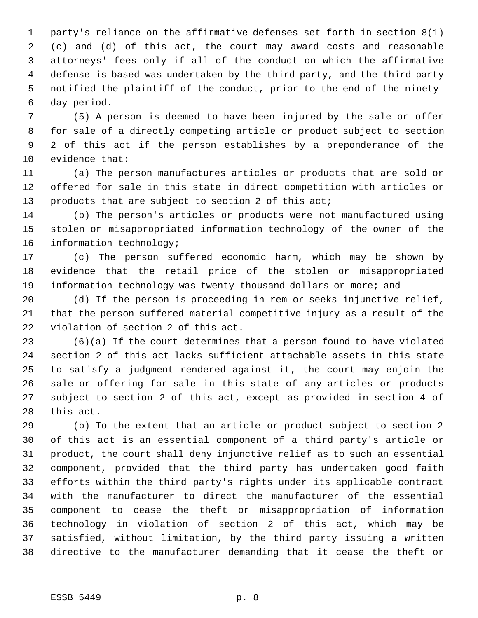party's reliance on the affirmative defenses set forth in section 8(1) (c) and (d) of this act, the court may award costs and reasonable attorneys' fees only if all of the conduct on which the affirmative defense is based was undertaken by the third party, and the third party notified the plaintiff of the conduct, prior to the end of the ninety- day period.

 (5) A person is deemed to have been injured by the sale or offer for sale of a directly competing article or product subject to section 2 of this act if the person establishes by a preponderance of the evidence that:

 (a) The person manufactures articles or products that are sold or offered for sale in this state in direct competition with articles or 13 products that are subject to section 2 of this act;

 (b) The person's articles or products were not manufactured using stolen or misappropriated information technology of the owner of the information technology;

 (c) The person suffered economic harm, which may be shown by evidence that the retail price of the stolen or misappropriated information technology was twenty thousand dollars or more; and

 (d) If the person is proceeding in rem or seeks injunctive relief, that the person suffered material competitive injury as a result of the violation of section 2 of this act.

 (6)(a) If the court determines that a person found to have violated section 2 of this act lacks sufficient attachable assets in this state to satisfy a judgment rendered against it, the court may enjoin the sale or offering for sale in this state of any articles or products subject to section 2 of this act, except as provided in section 4 of this act.

 (b) To the extent that an article or product subject to section 2 of this act is an essential component of a third party's article or product, the court shall deny injunctive relief as to such an essential component, provided that the third party has undertaken good faith efforts within the third party's rights under its applicable contract with the manufacturer to direct the manufacturer of the essential component to cease the theft or misappropriation of information technology in violation of section 2 of this act, which may be satisfied, without limitation, by the third party issuing a written directive to the manufacturer demanding that it cease the theft or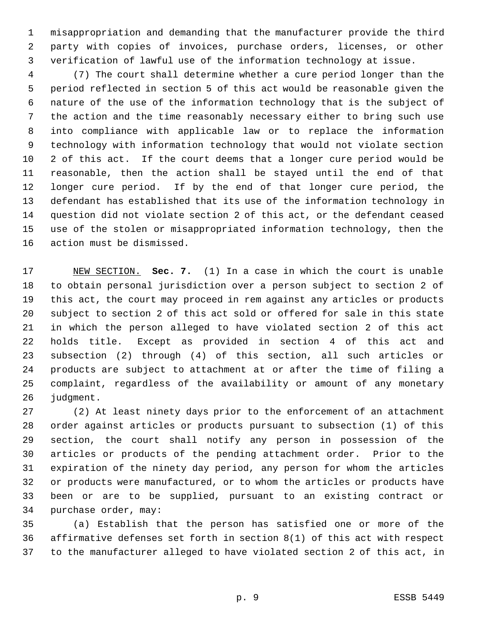misappropriation and demanding that the manufacturer provide the third party with copies of invoices, purchase orders, licenses, or other verification of lawful use of the information technology at issue.

 (7) The court shall determine whether a cure period longer than the period reflected in section 5 of this act would be reasonable given the nature of the use of the information technology that is the subject of the action and the time reasonably necessary either to bring such use into compliance with applicable law or to replace the information technology with information technology that would not violate section 2 of this act. If the court deems that a longer cure period would be reasonable, then the action shall be stayed until the end of that longer cure period. If by the end of that longer cure period, the defendant has established that its use of the information technology in question did not violate section 2 of this act, or the defendant ceased use of the stolen or misappropriated information technology, then the action must be dismissed.

 NEW SECTION. **Sec. 7.** (1) In a case in which the court is unable to obtain personal jurisdiction over a person subject to section 2 of this act, the court may proceed in rem against any articles or products subject to section 2 of this act sold or offered for sale in this state in which the person alleged to have violated section 2 of this act holds title. Except as provided in section 4 of this act and subsection (2) through (4) of this section, all such articles or products are subject to attachment at or after the time of filing a complaint, regardless of the availability or amount of any monetary judgment.

 (2) At least ninety days prior to the enforcement of an attachment order against articles or products pursuant to subsection (1) of this section, the court shall notify any person in possession of the articles or products of the pending attachment order. Prior to the expiration of the ninety day period, any person for whom the articles or products were manufactured, or to whom the articles or products have been or are to be supplied, pursuant to an existing contract or purchase order, may:

 (a) Establish that the person has satisfied one or more of the affirmative defenses set forth in section 8(1) of this act with respect to the manufacturer alleged to have violated section 2 of this act, in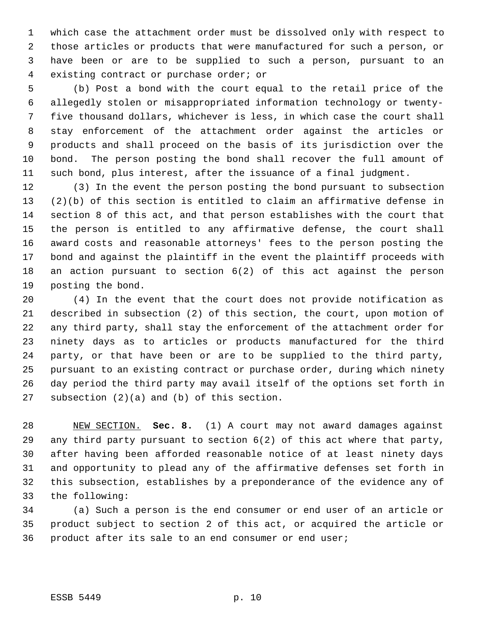which case the attachment order must be dissolved only with respect to those articles or products that were manufactured for such a person, or have been or are to be supplied to such a person, pursuant to an existing contract or purchase order; or

 (b) Post a bond with the court equal to the retail price of the allegedly stolen or misappropriated information technology or twenty- five thousand dollars, whichever is less, in which case the court shall stay enforcement of the attachment order against the articles or products and shall proceed on the basis of its jurisdiction over the bond. The person posting the bond shall recover the full amount of such bond, plus interest, after the issuance of a final judgment.

 (3) In the event the person posting the bond pursuant to subsection (2)(b) of this section is entitled to claim an affirmative defense in section 8 of this act, and that person establishes with the court that the person is entitled to any affirmative defense, the court shall award costs and reasonable attorneys' fees to the person posting the bond and against the plaintiff in the event the plaintiff proceeds with an action pursuant to section 6(2) of this act against the person posting the bond.

 (4) In the event that the court does not provide notification as described in subsection (2) of this section, the court, upon motion of any third party, shall stay the enforcement of the attachment order for ninety days as to articles or products manufactured for the third party, or that have been or are to be supplied to the third party, pursuant to an existing contract or purchase order, during which ninety day period the third party may avail itself of the options set forth in subsection (2)(a) and (b) of this section.

 NEW SECTION. **Sec. 8.** (1) A court may not award damages against any third party pursuant to section 6(2) of this act where that party, after having been afforded reasonable notice of at least ninety days and opportunity to plead any of the affirmative defenses set forth in this subsection, establishes by a preponderance of the evidence any of the following:

 (a) Such a person is the end consumer or end user of an article or product subject to section 2 of this act, or acquired the article or product after its sale to an end consumer or end user;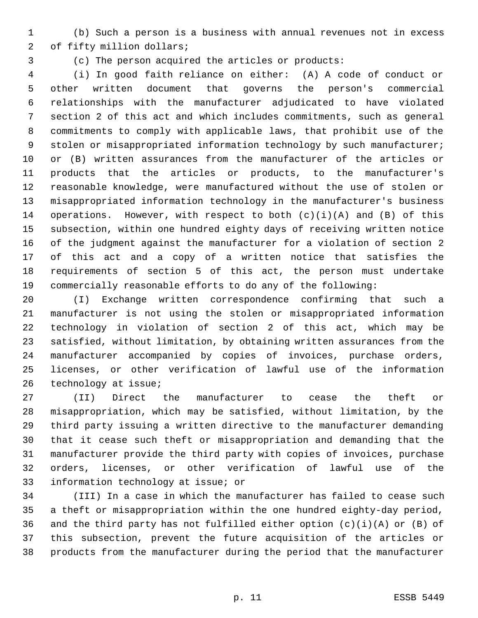(b) Such a person is a business with annual revenues not in excess of fifty million dollars;

(c) The person acquired the articles or products:

 (i) In good faith reliance on either: (A) A code of conduct or other written document that governs the person's commercial relationships with the manufacturer adjudicated to have violated section 2 of this act and which includes commitments, such as general commitments to comply with applicable laws, that prohibit use of the stolen or misappropriated information technology by such manufacturer; or (B) written assurances from the manufacturer of the articles or products that the articles or products, to the manufacturer's reasonable knowledge, were manufactured without the use of stolen or misappropriated information technology in the manufacturer's business 14 operations. However, with respect to both  $(c)(i)(A)$  and  $(B)$  of this subsection, within one hundred eighty days of receiving written notice of the judgment against the manufacturer for a violation of section 2 of this act and a copy of a written notice that satisfies the requirements of section 5 of this act, the person must undertake commercially reasonable efforts to do any of the following:

 (I) Exchange written correspondence confirming that such a manufacturer is not using the stolen or misappropriated information technology in violation of section 2 of this act, which may be satisfied, without limitation, by obtaining written assurances from the manufacturer accompanied by copies of invoices, purchase orders, licenses, or other verification of lawful use of the information technology at issue;

 (II) Direct the manufacturer to cease the theft or misappropriation, which may be satisfied, without limitation, by the third party issuing a written directive to the manufacturer demanding that it cease such theft or misappropriation and demanding that the manufacturer provide the third party with copies of invoices, purchase orders, licenses, or other verification of lawful use of the information technology at issue; or

 (III) In a case in which the manufacturer has failed to cease such a theft or misappropriation within the one hundred eighty-day period, 36 and the third party has not fulfilled either option  $(c)(i)(A)$  or  $(B)$  of this subsection, prevent the future acquisition of the articles or products from the manufacturer during the period that the manufacturer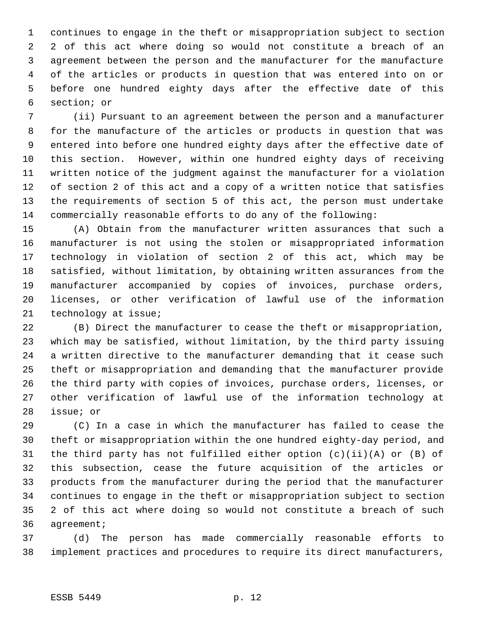continues to engage in the theft or misappropriation subject to section 2 of this act where doing so would not constitute a breach of an agreement between the person and the manufacturer for the manufacture of the articles or products in question that was entered into on or before one hundred eighty days after the effective date of this section; or

 (ii) Pursuant to an agreement between the person and a manufacturer for the manufacture of the articles or products in question that was entered into before one hundred eighty days after the effective date of this section. However, within one hundred eighty days of receiving written notice of the judgment against the manufacturer for a violation of section 2 of this act and a copy of a written notice that satisfies the requirements of section 5 of this act, the person must undertake commercially reasonable efforts to do any of the following:

 (A) Obtain from the manufacturer written assurances that such a manufacturer is not using the stolen or misappropriated information technology in violation of section 2 of this act, which may be satisfied, without limitation, by obtaining written assurances from the manufacturer accompanied by copies of invoices, purchase orders, licenses, or other verification of lawful use of the information technology at issue;

 (B) Direct the manufacturer to cease the theft or misappropriation, which may be satisfied, without limitation, by the third party issuing a written directive to the manufacturer demanding that it cease such theft or misappropriation and demanding that the manufacturer provide the third party with copies of invoices, purchase orders, licenses, or other verification of lawful use of the information technology at issue; or

 (C) In a case in which the manufacturer has failed to cease the theft or misappropriation within the one hundred eighty-day period, and the third party has not fulfilled either option (c)(ii)(A) or (B) of this subsection, cease the future acquisition of the articles or products from the manufacturer during the period that the manufacturer continues to engage in the theft or misappropriation subject to section 2 of this act where doing so would not constitute a breach of such agreement;

 (d) The person has made commercially reasonable efforts to implement practices and procedures to require its direct manufacturers,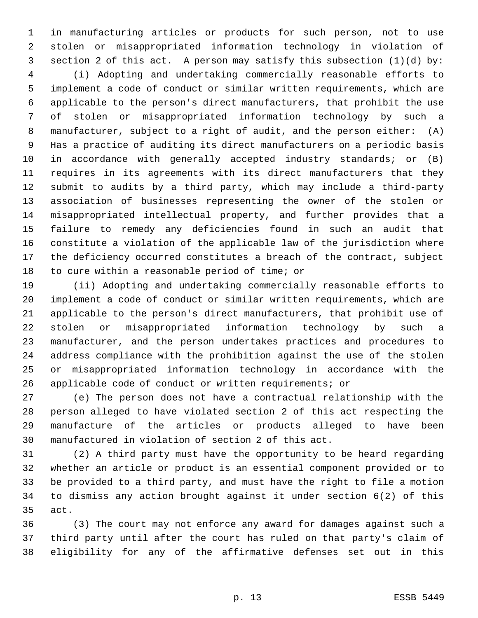in manufacturing articles or products for such person, not to use stolen or misappropriated information technology in violation of section 2 of this act. A person may satisfy this subsection (1)(d) by:

 (i) Adopting and undertaking commercially reasonable efforts to implement a code of conduct or similar written requirements, which are applicable to the person's direct manufacturers, that prohibit the use of stolen or misappropriated information technology by such a manufacturer, subject to a right of audit, and the person either: (A) Has a practice of auditing its direct manufacturers on a periodic basis in accordance with generally accepted industry standards; or (B) requires in its agreements with its direct manufacturers that they submit to audits by a third party, which may include a third-party association of businesses representing the owner of the stolen or misappropriated intellectual property, and further provides that a failure to remedy any deficiencies found in such an audit that constitute a violation of the applicable law of the jurisdiction where the deficiency occurred constitutes a breach of the contract, subject to cure within a reasonable period of time; or

 (ii) Adopting and undertaking commercially reasonable efforts to implement a code of conduct or similar written requirements, which are applicable to the person's direct manufacturers, that prohibit use of stolen or misappropriated information technology by such a manufacturer, and the person undertakes practices and procedures to address compliance with the prohibition against the use of the stolen or misappropriated information technology in accordance with the applicable code of conduct or written requirements; or

 (e) The person does not have a contractual relationship with the person alleged to have violated section 2 of this act respecting the manufacture of the articles or products alleged to have been manufactured in violation of section 2 of this act.

 (2) A third party must have the opportunity to be heard regarding whether an article or product is an essential component provided or to be provided to a third party, and must have the right to file a motion to dismiss any action brought against it under section 6(2) of this act.

 (3) The court may not enforce any award for damages against such a third party until after the court has ruled on that party's claim of eligibility for any of the affirmative defenses set out in this